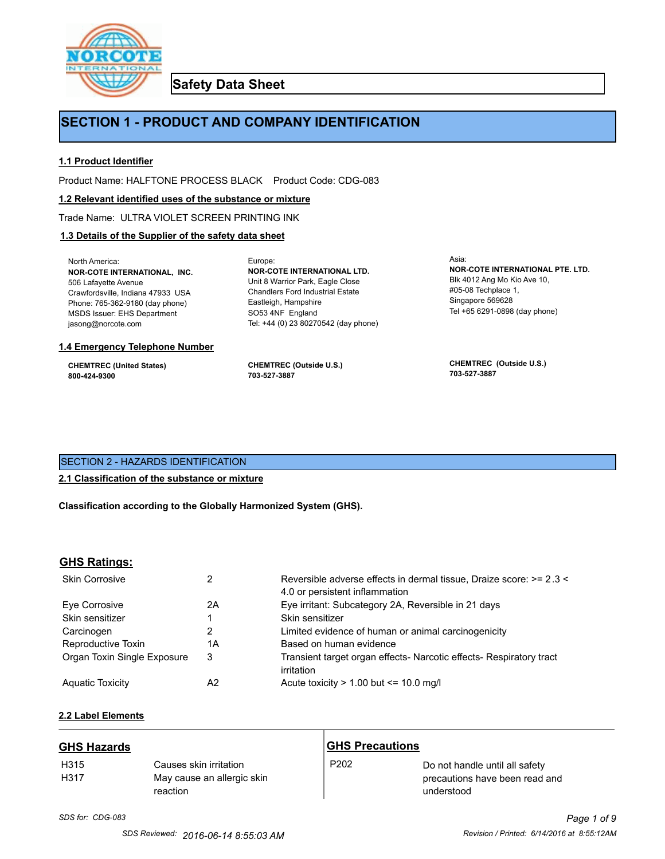

**Safety Data Sheet**

# **SECTION 1 - PRODUCT AND COMPANY IDENTIFICATION**

Europe:

### **1.1 Product Identifier**

Product Name: HALFTONE PROCESS BLACK Product Code: CDG-083

#### **1.2 Relevant identified uses of the substance or mixture**

Trade Name: ULTRA VIOLET SCREEN PRINTING INK

#### **1.3 Details of the Supplier of the safety data sheet**

North America: **NOR-COTE INTERNATIONAL, INC.** 506 Lafayette Avenue Crawfordsville, Indiana 47933 USA Phone: 765-362-9180 (day phone) MSDS Issuer: EHS Department jasong@norcote.com

#### **1.4 Emergency Telephone Number**

**CHEMTREC (United States) 800-424-9300**

**CHEMTREC (Outside U.S.) 703-527-3887**

Eastleigh, Hampshire SO53 4NF England

**NOR-COTE INTERNATIONAL LTD.** Unit 8 Warrior Park, Eagle Close Chandlers Ford Industrial Estate

Tel: +44 (0) 23 80270542 (day phone)

Asia: **NOR-COTE INTERNATIONAL PTE. LTD.** Blk 4012 Ang Mo Kio Ave 10, #05-08 Techplace 1, Singapore 569628 Tel +65 6291-0898 (day phone)

**CHEMTREC (Outside U.S.) 703-527-3887**

# SECTION 2 - HAZARDS IDENTIFICATION

#### **2.1 Classification of the substance or mixture**

**Classification according to the Globally Harmonized System (GHS).**

#### **GHS Ratings:**

| <b>Skin Corrosive</b>       | 2  | Reversible adverse effects in dermal tissue, Draize score: >= 2.3 <<br>4.0 or persistent inflammation |
|-----------------------------|----|-------------------------------------------------------------------------------------------------------|
| Eve Corrosive               | 2A | Eye irritant: Subcategory 2A, Reversible in 21 days                                                   |
| Skin sensitizer             |    | Skin sensitizer                                                                                       |
| Carcinogen                  |    | Limited evidence of human or animal carcinogenicity                                                   |
| Reproductive Toxin          | 1A | Based on human evidence                                                                               |
| Organ Toxin Single Exposure | 3  | Transient target organ effects- Narcotic effects- Respiratory tract<br>irritation                     |
| <b>Aguatic Toxicity</b>     | A2 | Acute toxicity $> 1.00$ but $\leq 10.0$ mg/l                                                          |

# **2.2 Label Elements**

| <b>GHS Hazards</b>       |                                                                  | <b>GHS Precautions</b> |                                                                                |
|--------------------------|------------------------------------------------------------------|------------------------|--------------------------------------------------------------------------------|
| H <sub>315</sub><br>H317 | Causes skin irritation<br>May cause an allergic skin<br>reaction | P <sub>202</sub>       | Do not handle until all safety<br>precautions have been read and<br>understood |

# *SDS for: CDG-083 Page 1 of 9*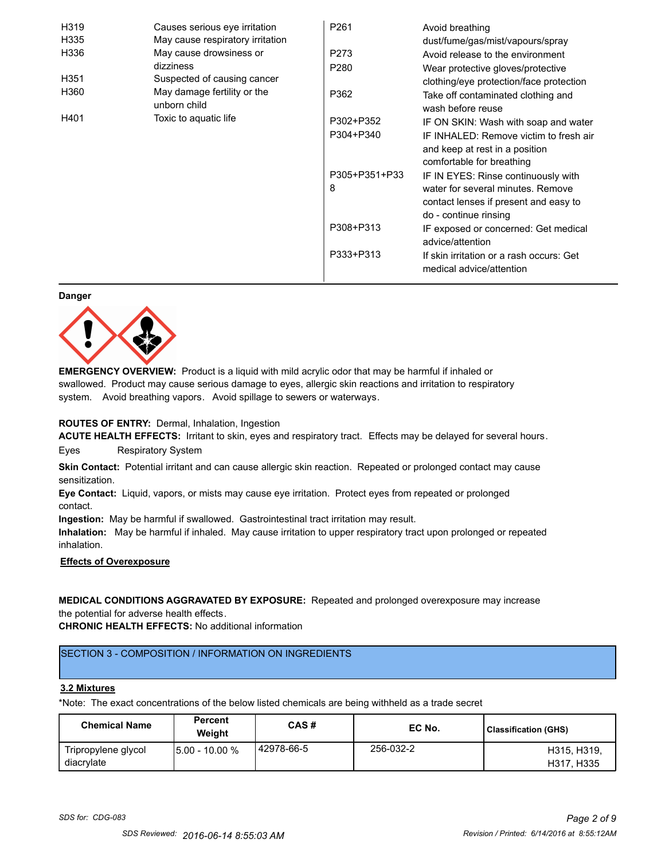| H319             | Causes serious eye irritation               | P <sub>261</sub> | Avoid breathing                                                      |
|------------------|---------------------------------------------|------------------|----------------------------------------------------------------------|
| H335             | May cause respiratory irritation            |                  | dust/fume/gas/mist/vapours/spray                                     |
| H336             | May cause drowsiness or                     | P273             | Avoid release to the environment                                     |
|                  | dizziness                                   | P <sub>280</sub> | Wear protective gloves/protective                                    |
| H <sub>351</sub> | Suspected of causing cancer                 |                  | clothing/eye protection/face protection                              |
| H360             | May damage fertility or the<br>unborn child | P362             | Take off contaminated clothing and<br>wash before reuse              |
| H401             | Toxic to aquatic life                       | P302+P352        | IF ON SKIN: Wash with soap and water                                 |
|                  |                                             | P304+P340        | IF INHALED: Remove victim to fresh air                               |
|                  |                                             |                  | and keep at rest in a position                                       |
|                  |                                             |                  | comfortable for breathing                                            |
|                  |                                             | P305+P351+P33    | IF IN EYES: Rinse continuously with                                  |
|                  |                                             | 8                | water for several minutes. Remove                                    |
|                  |                                             |                  | contact lenses if present and easy to                                |
|                  |                                             |                  | do - continue rinsing                                                |
|                  |                                             | P308+P313        | IF exposed or concerned: Get medical                                 |
|                  |                                             |                  | advice/attention                                                     |
|                  |                                             | P333+P313        | If skin irritation or a rash occurs: Get<br>medical advice/attention |

#### **Danger**



**EMERGENCY OVERVIEW:** Product is a liquid with mild acrylic odor that may be harmful if inhaled or swallowed. Product may cause serious damage to eyes, allergic skin reactions and irritation to respiratory system. Avoid breathing vapors. Avoid spillage to sewers or waterways.

#### **ROUTES OF ENTRY:** Dermal, Inhalation, Ingestion

**ACUTE HEALTH EFFECTS:** Irritant to skin, eyes and respiratory tract. Effects may be delayed for several hours. Eyes Respiratory System

**Skin Contact:** Potential irritant and can cause allergic skin reaction. Repeated or prolonged contact may cause sensitization.

**Eye Contact:** Liquid, vapors, or mists may cause eye irritation. Protect eyes from repeated or prolonged contact.

**Ingestion:** May be harmful if swallowed. Gastrointestinal tract irritation may result.

**Inhalation:** May be harmful if inhaled. May cause irritation to upper respiratory tract upon prolonged or repeated inhalation.

# **Effects of Overexposure**

**MEDICAL CONDITIONS AGGRAVATED BY EXPOSURE:** Repeated and prolonged overexposure may increase the potential for adverse health effects.

**CHRONIC HEALTH EFFECTS:** No additional information

# SECTION 3 - COMPOSITION / INFORMATION ON INGREDIENTS

#### **3.2 Mixtures**

\*Note: The exact concentrations of the below listed chemicals are being withheld as a trade secret

| <b>Chemical Name</b>              | <b>Percent</b><br>Weight | CAS#        | EC No.    | Classification (GHS)      |
|-----------------------------------|--------------------------|-------------|-----------|---------------------------|
| Tripropylene glycol<br>diacrylate | $15.00 - 10.00 %$        | 142978-66-5 | 256-032-2 | H315, H319,<br>H317, H335 |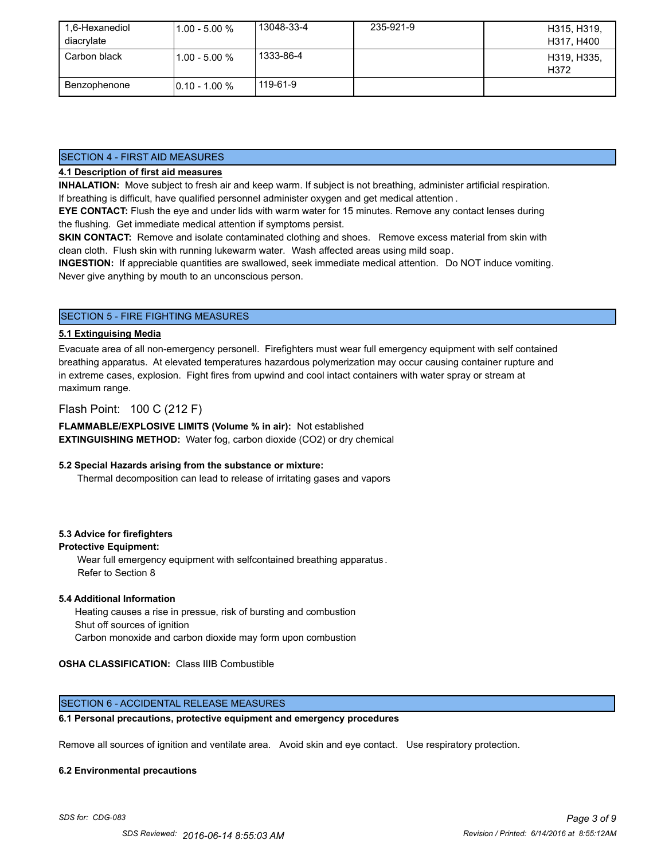| 1,6-Hexanediol | $1.00 - 5.00 %$  | 13048-33-4 | 235-921-9 | H315, H319,         |
|----------------|------------------|------------|-----------|---------------------|
| diacrylate     |                  |            |           | H317, H400          |
| Carbon black   | $1.00 - 5.00 %$  | 1333-86-4  |           | H319, H335,<br>H372 |
| Benzophenone   | $10.10 - 1.00 %$ | 119-61-9   |           |                     |

## SECTION 4 - FIRST AID MEASURES

# **4.1 Description of first aid measures**

**INHALATION:** Move subject to fresh air and keep warm. If subject is not breathing, administer artificial respiration. If breathing is difficult, have qualified personnel administer oxygen and get medical attention .

**EYE CONTACT:** Flush the eye and under lids with warm water for 15 minutes. Remove any contact lenses during the flushing. Get immediate medical attention if symptoms persist.

**SKIN CONTACT:** Remove and isolate contaminated clothing and shoes. Remove excess material from skin with clean cloth. Flush skin with running lukewarm water. Wash affected areas using mild soap.

**INGESTION:** If appreciable quantities are swallowed, seek immediate medical attention. Do NOT induce vomiting. Never give anything by mouth to an unconscious person.

# SECTION 5 - FIRE FIGHTING MEASURES

#### **5.1 Extinguising Media**

Evacuate area of all non-emergency personell. Firefighters must wear full emergency equipment with self contained breathing apparatus. At elevated temperatures hazardous polymerization may occur causing container rupture and in extreme cases, explosion. Fight fires from upwind and cool intact containers with water spray or stream at maximum range.

# Flash Point: 100 C (212 F)

**FLAMMABLE/EXPLOSIVE LIMITS (Volume % in air):** Not established **EXTINGUISHING METHOD:** Water fog, carbon dioxide (CO2) or dry chemical

#### **5.2 Special Hazards arising from the substance or mixture:**

Thermal decomposition can lead to release of irritating gases and vapors

#### **5.3 Advice for firefighters**

#### **Protective Equipment:**

Wear full emergency equipment with selfcontained breathing apparatus . Refer to Section 8

#### **5.4 Additional Information**

 Heating causes a rise in pressue, risk of bursting and combustion Shut off sources of ignition Carbon monoxide and carbon dioxide may form upon combustion

# **OSHA CLASSIFICATION:** Class IIIB Combustible

#### SECTION 6 - ACCIDENTAL RELEASE MEASURES

#### **6.1 Personal precautions, protective equipment and emergency procedures**

Remove all sources of ignition and ventilate area. Avoid skin and eye contact. Use respiratory protection.

#### **6.2 Environmental precautions**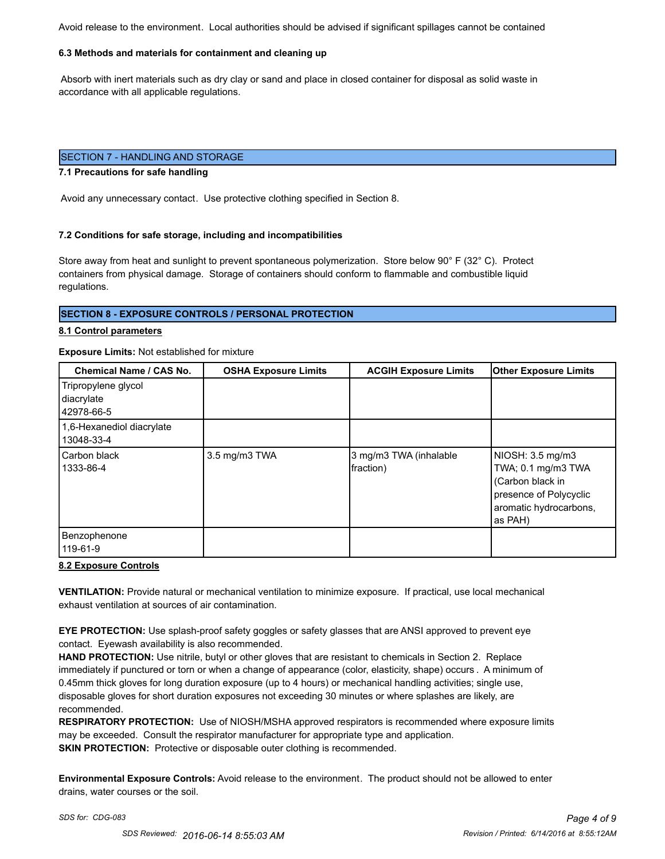Avoid release to the environment. Local authorities should be advised if significant spillages cannot be contained

#### **6.3 Methods and materials for containment and cleaning up**

 Absorb with inert materials such as dry clay or sand and place in closed container for disposal as solid waste in accordance with all applicable regulations.

#### SECTION 7 - HANDLING AND STORAGE

#### **7.1 Precautions for safe handling**

Avoid any unnecessary contact. Use protective clothing specified in Section 8.

#### **7.2 Conditions for safe storage, including and incompatibilities**

Store away from heat and sunlight to prevent spontaneous polymerization. Store below 90° F (32° C). Protect containers from physical damage. Storage of containers should conform to flammable and combustible liquid regulations.

#### **SECTION 8 - EXPOSURE CONTROLS / PERSONAL PROTECTION**

#### **8.1 Control parameters**

#### **Exposure Limits:** Not established for mixture

| <b>Chemical Name / CAS No.</b>                  | <b>OSHA Exposure Limits</b> | <b>ACGIH Exposure Limits</b>        | <b>Other Exposure Limits</b>                                                                                              |
|-------------------------------------------------|-----------------------------|-------------------------------------|---------------------------------------------------------------------------------------------------------------------------|
| Tripropylene glycol<br>diacrylate<br>42978-66-5 |                             |                                     |                                                                                                                           |
| 1,6-Hexanediol diacrylate<br>13048-33-4         |                             |                                     |                                                                                                                           |
| Carbon black<br>1333-86-4                       | 3.5 mg/m3 TWA               | 3 mg/m3 TWA (inhalable<br>fraction) | NIOSH: 3.5 mg/m3<br>TWA; 0.1 mg/m3 TWA<br>(Carbon black in<br>presence of Polycyclic<br>aromatic hydrocarbons,<br>as PAH) |
| Benzophenone<br>119-61-9                        |                             |                                     |                                                                                                                           |

#### **8.2 Exposure Controls**

**VENTILATION:** Provide natural or mechanical ventilation to minimize exposure. If practical, use local mechanical exhaust ventilation at sources of air contamination.

**EYE PROTECTION:** Use splash-proof safety goggles or safety glasses that are ANSI approved to prevent eye contact. Eyewash availability is also recommended.

**HAND PROTECTION:** Use nitrile, butyl or other gloves that are resistant to chemicals in Section 2. Replace immediately if punctured or torn or when a change of appearance (color, elasticity, shape) occurs . A minimum of 0.45mm thick gloves for long duration exposure (up to 4 hours) or mechanical handling activities; single use, disposable gloves for short duration exposures not exceeding 30 minutes or where splashes are likely, are recommended.

**RESPIRATORY PROTECTION:** Use of NIOSH/MSHA approved respirators is recommended where exposure limits may be exceeded. Consult the respirator manufacturer for appropriate type and application. **SKIN PROTECTION:** Protective or disposable outer clothing is recommended.

**Environmental Exposure Controls:** Avoid release to the environment. The product should not be allowed to enter drains, water courses or the soil.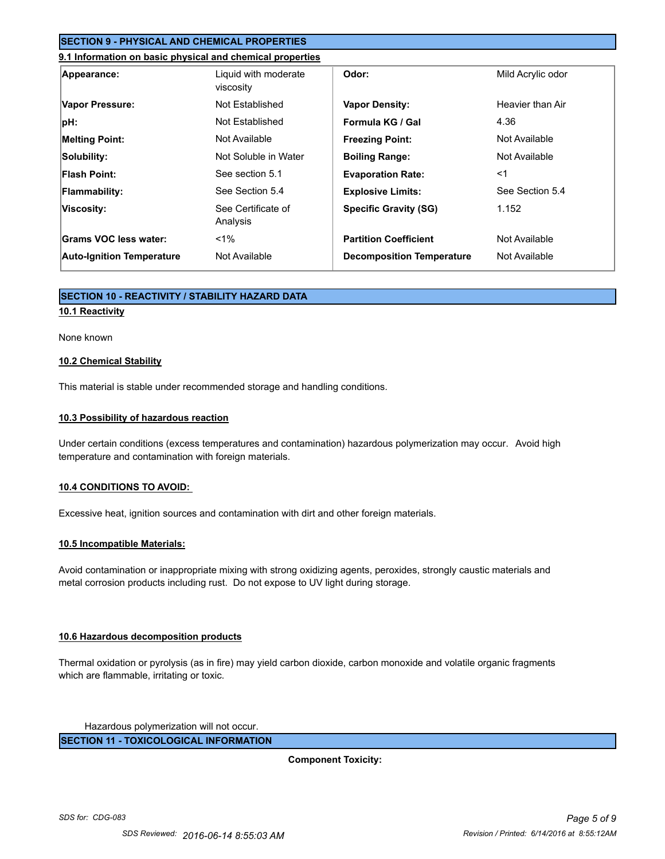# **SECTION 9 - PHYSICAL AND CHEMICAL PROPERTIES**

#### **9.1 Information on basic physical and chemical properties**

| Appearance:                      | Liquid with moderate<br>viscosity | Odor:                            | Mild Acrylic odor |
|----------------------------------|-----------------------------------|----------------------------------|-------------------|
| Vapor Pressure:                  | Not Established                   | <b>Vapor Density:</b>            | Heavier than Air  |
| $ pH$ :                          | Not Established                   | Formula KG / Gal                 | 4.36              |
| <b>Melting Point:</b>            | Not Available                     | <b>Freezing Point:</b>           | Not Available     |
| Solubility:                      | Not Soluble in Water              | <b>Boiling Range:</b>            | Not Available     |
| <b>Flash Point:</b>              | See section 5.1                   | <b>Evaporation Rate:</b>         | $<$ 1             |
| <b>Flammability:</b>             | See Section 5.4                   | <b>Explosive Limits:</b>         | See Section 5.4   |
| Viscosity:                       | See Certificate of<br>Analysis    | <b>Specific Gravity (SG)</b>     | 1.152             |
| Grams VOC less water:            | $1\%$                             | <b>Partition Coefficient</b>     | Not Available     |
| <b>Auto-Ignition Temperature</b> | Not Available                     | <b>Decomposition Temperature</b> | Not Available     |

### **SECTION 10 - REACTIVITY / STABILITY HAZARD DATA**

## **10.1 Reactivity**

#### None known

#### **10.2 Chemical Stability**

This material is stable under recommended storage and handling conditions.

#### **10.3 Possibility of hazardous reaction**

Under certain conditions (excess temperatures and contamination) hazardous polymerization may occur. Avoid high temperature and contamination with foreign materials.

#### **10.4 CONDITIONS TO AVOID:**

Excessive heat, ignition sources and contamination with dirt and other foreign materials.

#### **10.5 Incompatible Materials:**

Avoid contamination or inappropriate mixing with strong oxidizing agents, peroxides, strongly caustic materials and metal corrosion products including rust. Do not expose to UV light during storage.

#### **10.6 Hazardous decomposition products**

Thermal oxidation or pyrolysis (as in fire) may yield carbon dioxide, carbon monoxide and volatile organic fragments which are flammable, irritating or toxic.

Hazardous polymerization will not occur.

**SECTION 11 - TOXICOLOGICAL INFORMATION**

**Component Toxicity:**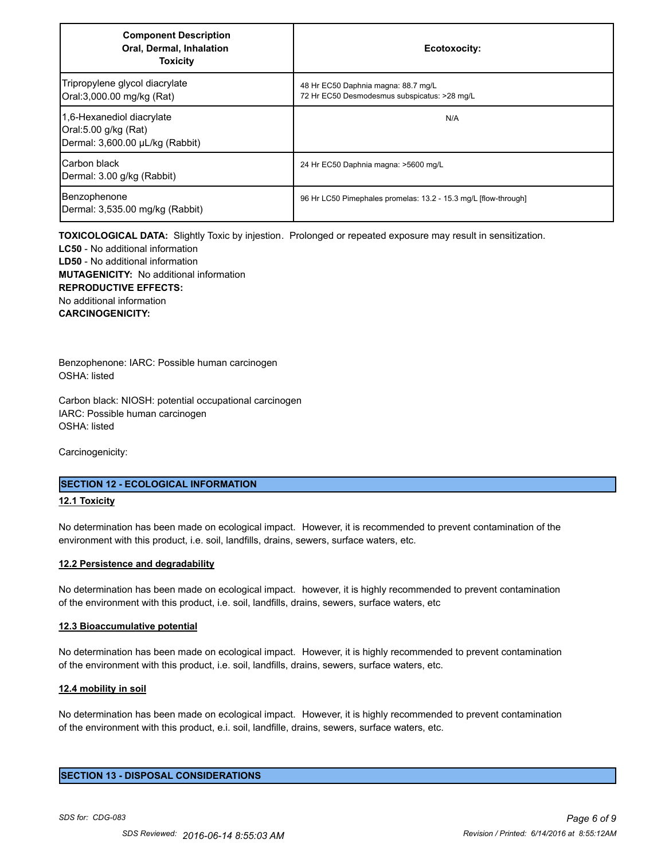| <b>Component Description</b><br>Oral, Dermal, Inhalation<br><b>Toxicity</b>          | Ecotoxocity:                                                                        |
|--------------------------------------------------------------------------------------|-------------------------------------------------------------------------------------|
| Tripropylene glycol diacrylate<br>Oral:3,000.00 mg/kg (Rat)                          | 48 Hr EC50 Daphnia magna: 88.7 mg/L<br>72 Hr EC50 Desmodesmus subspicatus: >28 mg/L |
| 1.6-Hexanediol diacrylate<br>Oral:5.00 g/kg (Rat)<br>Dermal: 3,600.00 µL/kg (Rabbit) | N/A                                                                                 |
| <b>Carbon black</b><br>Dermal: 3.00 g/kg (Rabbit)                                    | 24 Hr EC50 Daphnia magna: >5600 mg/L                                                |
| Benzophenone<br>Dermal: 3,535.00 mg/kg (Rabbit)                                      | 96 Hr LC50 Pimephales promelas: 13.2 - 15.3 mg/L [flow-through]                     |

**TOXICOLOGICAL DATA:** Slightly Toxic by injestion. Prolonged or repeated exposure may result in sensitization. **LC50** - No additional information **LD50** - No additional information **MUTAGENICITY:** No additional information **REPRODUCTIVE EFFECTS:** No additional information **CARCINOGENICITY:**

Benzophenone: IARC: Possible human carcinogen OSHA: listed

Carbon black: NIOSH: potential occupational carcinogen IARC: Possible human carcinogen OSHA: listed

Carcinogenicity:

#### **SECTION 12 - ECOLOGICAL INFORMATION**

#### **12.1 Toxicity**

No determination has been made on ecological impact. However, it is recommended to prevent contamination of the environment with this product, i.e. soil, landfills, drains, sewers, surface waters, etc.

#### **12.2 Persistence and degradability**

No determination has been made on ecological impact. however, it is highly recommended to prevent contamination of the environment with this product, i.e. soil, landfills, drains, sewers, surface waters, etc

#### **12.3 Bioaccumulative potential**

No determination has been made on ecological impact. However, it is highly recommended to prevent contamination of the environment with this product, i.e. soil, landfills, drains, sewers, surface waters, etc.

#### **12.4 mobility in soil**

No determination has been made on ecological impact. However, it is highly recommended to prevent contamination of the environment with this product, e.i. soil, landfille, drains, sewers, surface waters, etc.

#### **SECTION 13 - DISPOSAL CONSIDERATIONS**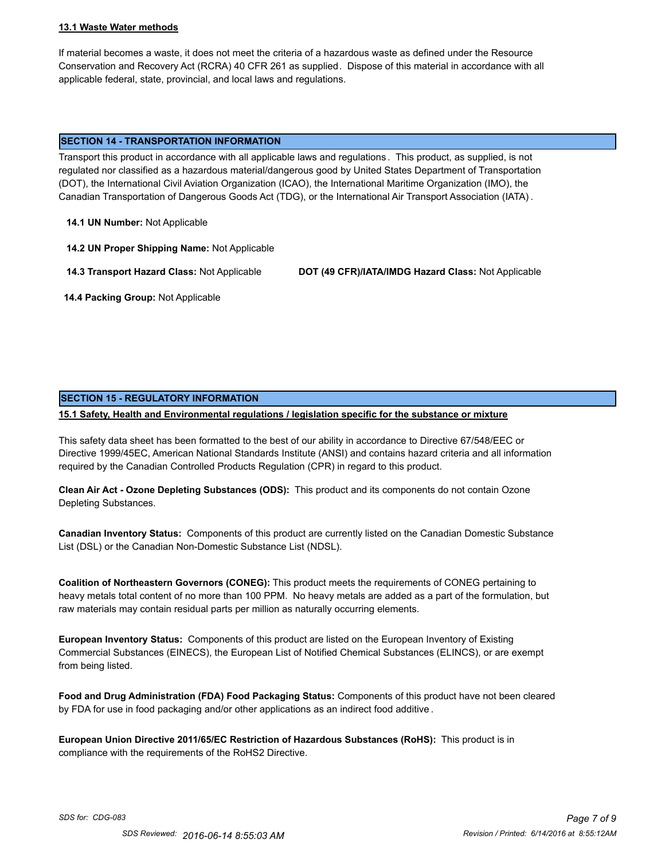#### **13.1 Waste Water methods**

If material becomes a waste, it does not meet the criteria of a hazardous waste as defined under the Resource Conservation and Recovery Act (RCRA) 40 CFR 261 as supplied. Dispose of this material in accordance with all applicable federal, state, provincial, and local laws and regulations.

#### **SECTION 14 - TRANSPORTATION INFORMATION**

Transport this product in accordance with all applicable laws and regulations . This product, as supplied, is not regulated nor classified as a hazardous material/dangerous good by United States Department of Transportation (DOT), the International Civil Aviation Organization (ICAO), the International Maritime Organization (IMO), the Canadian Transportation of Dangerous Goods Act (TDG), or the International Air Transport Association (IATA) .

**14.1 UN Number:** Not Applicable

**14.2 UN Proper Shipping Name:** Not Applicable

**14.3 Transport Hazard Class:** Not Applicable **DOT (49 CFR)/IATA/IMDG Hazard Class:** Not Applicable

 **14.4 Packing Group:** Not Applicable

# **SECTION 15 - REGULATORY INFORMATION**

**15.1 Safety, Health and Environmental regulations / legislation specific for the substance or mixture**

This safety data sheet has been formatted to the best of our ability in accordance to Directive 67/548/EEC or Directive 1999/45EC, American National Standards Institute (ANSI) and contains hazard criteria and all information required by the Canadian Controlled Products Regulation (CPR) in regard to this product.

**Clean Air Act - Ozone Depleting Substances (ODS):** This product and its components do not contain Ozone Depleting Substances.

**Canadian Inventory Status:** Components of this product are currently listed on the Canadian Domestic Substance List (DSL) or the Canadian Non-Domestic Substance List (NDSL).

**Coalition of Northeastern Governors (CONEG):** This product meets the requirements of CONEG pertaining to heavy metals total content of no more than 100 PPM. No heavy metals are added as a part of the formulation, but raw materials may contain residual parts per million as naturally occurring elements.

**European Inventory Status:** Components of this product are listed on the European Inventory of Existing Commercial Substances (EINECS), the European List of Notified Chemical Substances (ELINCS), or are exempt from being listed.

**Food and Drug Administration (FDA) Food Packaging Status:** Components of this product have not been cleared by FDA for use in food packaging and/or other applications as an indirect food additive .

**European Union Directive 2011/65/EC Restriction of Hazardous Substances (RoHS):** This product is in compliance with the requirements of the RoHS2 Directive.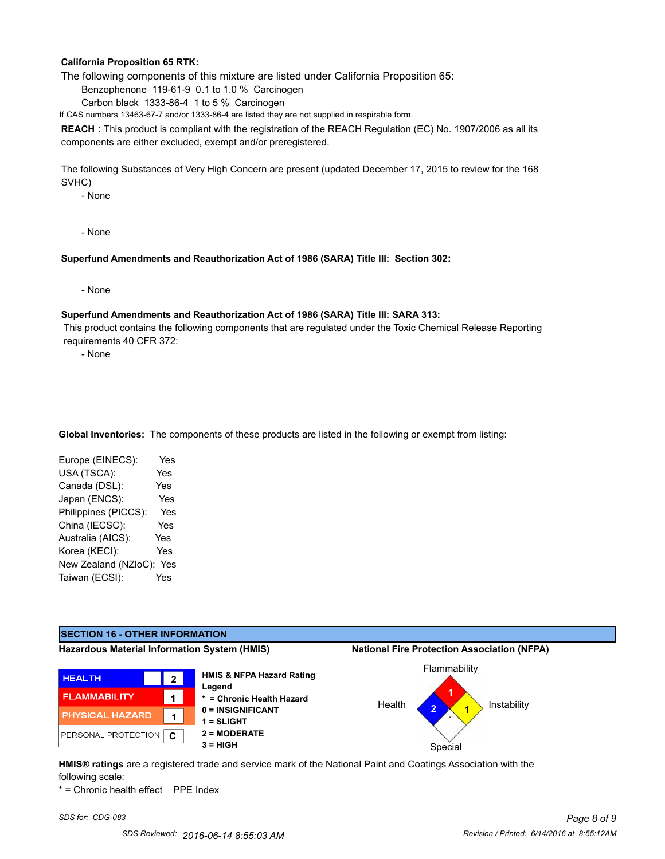#### **California Proposition 65 RTK:**

The following components of this mixture are listed under California Proposition 65:

Benzophenone 119-61-9 0.1 to 1.0 % Carcinogen

Carbon black 1333-86-4 1 to 5 % Carcinogen

If CAS numbers 13463-67-7 and/or 1333-86-4 are listed they are not supplied in respirable form.

**REACH** : This product is compliant with the registration of the REACH Regulation (EC) No. 1907/2006 as all its components are either excluded, exempt and/or preregistered.

The following Substances of Very High Concern are present (updated December 17, 2015 to review for the 168 SVHC)

- None

- None

#### **Superfund Amendments and Reauthorization Act of 1986 (SARA) Title III: Section 302:**

- None

#### **Superfund Amendments and Reauthorization Act of 1986 (SARA) Title III: SARA 313:**

 This product contains the following components that are regulated under the Toxic Chemical Release Reporting requirements 40 CFR 372:

- None

**Global Inventories:** The components of these products are listed in the following or exempt from listing:

| Yes                         |
|-----------------------------|
| Yes                         |
| Yes                         |
| Yes                         |
| Yes                         |
| Yes                         |
| Yes                         |
| Yes                         |
| New Zealand (NZloC):<br>Yes |
| Yes                         |
|                             |

# **SECTION 16 - OTHER INFORMATION**

**Hazardous Material Information System (HMIS) National Fire Protection Association (NFPA)**







**HMIS® ratings** are a registered trade and service mark of the National Paint and Coatings Association with the following scale:

\* = Chronic health effect PPE Index